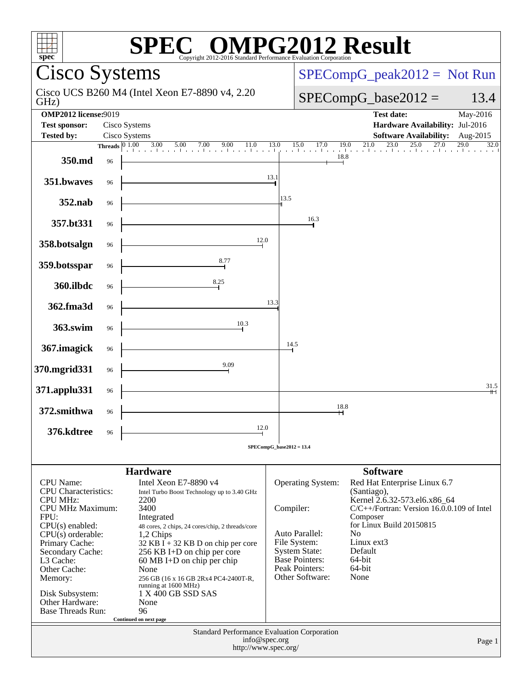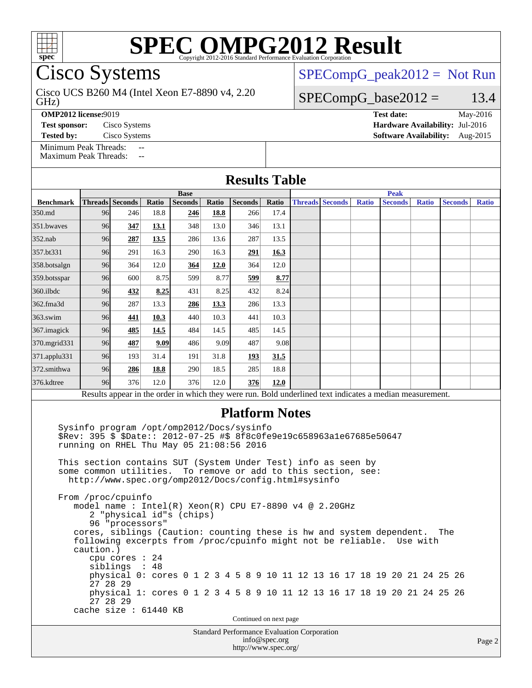

Cisco Systems

GHz) Cisco UCS B260 M4 (Intel Xeon E7-8890 v4, 2.20

**[OMP2012 license:](http://www.spec.org/auto/omp2012/Docs/result-fields.html#OMP2012license)**9019 **[Test date:](http://www.spec.org/auto/omp2012/Docs/result-fields.html#Testdate)** May-2016

[Minimum Peak Threads:](http://www.spec.org/auto/omp2012/Docs/result-fields.html#MinimumPeakThreads)

[Maximum Peak Threads:](http://www.spec.org/auto/omp2012/Docs/result-fields.html#MaximumPeakThreads)

 $SPECompG_peak2012 = Not Run$  $SPECompG_peak2012 = Not Run$ 

### $SPECompG_base2012 = 13.4$  $SPECompG_base2012 = 13.4$

**[Test sponsor:](http://www.spec.org/auto/omp2012/Docs/result-fields.html#Testsponsor)** Cisco Systems **[Hardware Availability:](http://www.spec.org/auto/omp2012/Docs/result-fields.html#HardwareAvailability)** Jul-2016 **[Tested by:](http://www.spec.org/auto/omp2012/Docs/result-fields.html#Testedby)** Cisco Systems **[Software Availability:](http://www.spec.org/auto/omp2012/Docs/result-fields.html#SoftwareAvailability)** Aug-2015

|                  | <b>Base</b> |                 |       |                |       |                |       | <b>Peak</b> |                        |              |                                                                                                          |              |                |              |
|------------------|-------------|-----------------|-------|----------------|-------|----------------|-------|-------------|------------------------|--------------|----------------------------------------------------------------------------------------------------------|--------------|----------------|--------------|
| <b>Benchmark</b> |             | Threads Seconds | Ratio | <b>Seconds</b> | Ratio | <b>Seconds</b> | Ratio |             | <b>Threads Seconds</b> | <b>Ratio</b> | <b>Seconds</b>                                                                                           | <b>Ratio</b> | <b>Seconds</b> | <b>Ratio</b> |
| 350.md           | <b>96</b>   | 246             | 18.8  | 246            | 18.8  | 266            | 17.4  |             |                        |              |                                                                                                          |              |                |              |
| 351.bwayes       | 96          | 347             | 13.1  | 348            | 13.0  | 346            | 13.1  |             |                        |              |                                                                                                          |              |                |              |
| $352$ .nab       | 96          | 287             | 13.5  | 286            | 13.6  | 287            | 13.5  |             |                        |              |                                                                                                          |              |                |              |
| 357.bt331        | 96          | 291             | 16.3  | 290            | 16.3  | 291            | 16.3  |             |                        |              |                                                                                                          |              |                |              |
| 358.botsalgn     | 96          | 364             | 12.0  | 364            | 12.0  | 364            | 12.0  |             |                        |              |                                                                                                          |              |                |              |
| 359.botsspar     | 96          | 600             | 8.75  | 599            | 8.77  | 599            | 8.77  |             |                        |              |                                                                                                          |              |                |              |
| 360.ilbdc        | 96          | 432             | 8.25  | 431            | 8.25  | 432            | 8.24  |             |                        |              |                                                                                                          |              |                |              |
| 362.fma3d        | 96          | 287             | 13.3  | 286            | 13.3  | 286            | 13.3  |             |                        |              |                                                                                                          |              |                |              |
| $363$ .swim      | 96          | 441             | 10.3  | 440            | 10.3  | 441            | 10.3  |             |                        |              |                                                                                                          |              |                |              |
| 367. imagick     | 96          | 485             | 14.5  | 484            | 14.5  | 485            | 14.5  |             |                        |              |                                                                                                          |              |                |              |
| 370.mgrid331     | 96          | 487             | 9.09  | 486            | 9.09  | 487            | 9.08  |             |                        |              |                                                                                                          |              |                |              |
| 371.applu331     | 96          | 193             | 31.4  | 191            | 31.8  | 193            | 31.5  |             |                        |              |                                                                                                          |              |                |              |
| 372.smithwa      | 96          | 286             | 18.8  | 290            | 18.5  | 285            | 18.8  |             |                        |              |                                                                                                          |              |                |              |
| 376.kdtree       | 96          | 376             | 12.0  | 376            | 12.0  | 376            | 12.0  |             |                        |              |                                                                                                          |              |                |              |
|                  |             |                 |       |                |       |                |       |             |                        |              | Results appear in the order in which they were run. Bold underlined text indicates a median measurement. |              |                |              |

#### **[Platform Notes](http://www.spec.org/auto/omp2012/Docs/result-fields.html#PlatformNotes)**

 Sysinfo program /opt/omp2012/Docs/sysinfo \$Rev: 395 \$ \$Date:: 2012-07-25 #\$ 8f8c0fe9e19c658963a1e67685e50647 running on RHEL Thu May 05 21:08:56 2016 This section contains SUT (System Under Test) info as seen by some common utilities. To remove or add to this section, see: <http://www.spec.org/omp2012/Docs/config.html#sysinfo>

 From /proc/cpuinfo model name : Intel(R) Xeon(R) CPU E7-8890 v4 @ 2.20GHz 2 "physical id"s (chips) 96 "processors" cores, siblings (Caution: counting these is hw and system dependent. The following excerpts from /proc/cpuinfo might not be reliable. Use with caution.) cpu cores : 24 siblings : 48 physical 0: cores 0 1 2 3 4 5 8 9 10 11 12 13 16 17 18 19 20 21 24 25 26 27 28 29 physical 1: cores 0 1 2 3 4 5 8 9 10 11 12 13 16 17 18 19 20 21 24 25 26 27 28 29 cache size : 61440 KB

Continued on next page

Standard Performance Evaluation Corporation [info@spec.org](mailto:info@spec.org) <http://www.spec.org/>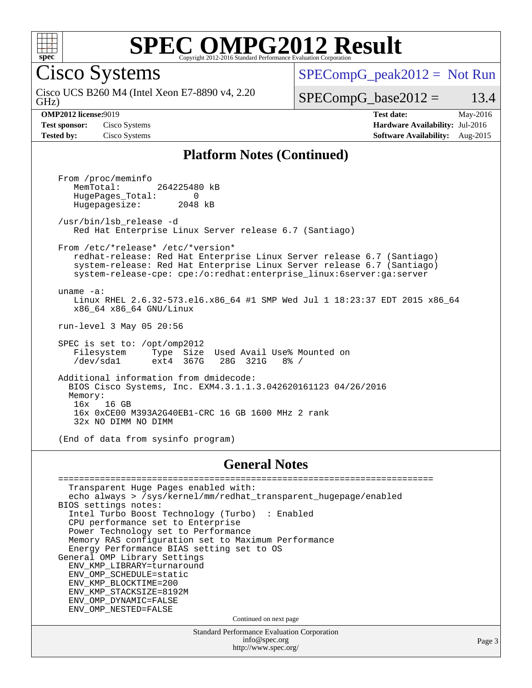

Cisco Systems

GHz) Cisco UCS B260 M4 (Intel Xeon E7-8890 v4, 2.20  $SPECompG_peak2012 = Not Run$  $SPECompG_peak2012 = Not Run$ 

 $SPECompG_base2012 = 13.4$  $SPECompG_base2012 = 13.4$ 

**[Test sponsor:](http://www.spec.org/auto/omp2012/Docs/result-fields.html#Testsponsor)** Cisco Systems **[Hardware Availability:](http://www.spec.org/auto/omp2012/Docs/result-fields.html#HardwareAvailability)** Jul-2016

**[OMP2012 license:](http://www.spec.org/auto/omp2012/Docs/result-fields.html#OMP2012license)**9019 **[Test date:](http://www.spec.org/auto/omp2012/Docs/result-fields.html#Testdate)** May-2016 **[Tested by:](http://www.spec.org/auto/omp2012/Docs/result-fields.html#Testedby)** Cisco Systems **[Software Availability:](http://www.spec.org/auto/omp2012/Docs/result-fields.html#SoftwareAvailability)** Aug-2015

#### **[Platform Notes \(Continued\)](http://www.spec.org/auto/omp2012/Docs/result-fields.html#PlatformNotes)**

 From /proc/meminfo MemTotal: 264225480 kB HugePages\_Total: 0<br>Hugepagesize: 2048 kB Hugepagesize: /usr/bin/lsb\_release -d Red Hat Enterprise Linux Server release 6.7 (Santiago) From /etc/\*release\* /etc/\*version\* redhat-release: Red Hat Enterprise Linux Server release 6.7 (Santiago) system-release: Red Hat Enterprise Linux Server release 6.7 (Santiago) system-release-cpe: cpe:/o:redhat:enterprise\_linux:6server:ga:server uname -a: Linux RHEL 2.6.32-573.el6.x86\_64 #1 SMP Wed Jul 1 18:23:37 EDT 2015 x86\_64 x86\_64 x86\_64 GNU/Linux run-level 3 May 05 20:56 SPEC is set to: /opt/omp2012 Filesystem Type Size Used Avail Use% Mounted on<br>
/dev/sda1 ext4 367G 28G 321G 8% / /dev/sda1 ext4 367G 28G 321G 8% / Additional information from dmidecode: BIOS Cisco Systems, Inc. EXM4.3.1.1.3.042620161123 04/26/2016 Memory: 16x 16 GB 16x 0xCE00 M393A2G40EB1-CRC 16 GB 1600 MHz 2 rank 32x NO DIMM NO DIMM (End of data from sysinfo program)

#### **[General Notes](http://www.spec.org/auto/omp2012/Docs/result-fields.html#GeneralNotes)**

Standard Performance Evaluation Corporation [info@spec.org](mailto:info@spec.org) <http://www.spec.org/> ======================================================================== Transparent Huge Pages enabled with: echo always > /sys/kernel/mm/redhat\_transparent\_hugepage/enabled BIOS settings notes: Intel Turbo Boost Technology (Turbo) : Enabled CPU performance set to Enterprise Power Technology set to Performance Memory RAS configuration set to Maximum Performance Energy Performance BIAS setting set to OS General OMP Library Settings ENV\_KMP\_LIBRARY=turnaround ENV\_OMP\_SCHEDULE=static ENV\_KMP\_BLOCKTIME=200 ENV\_KMP\_STACKSIZE=8192M ENV\_OMP\_DYNAMIC=FALSE ENV\_OMP\_NESTED=FALSE Continued on next page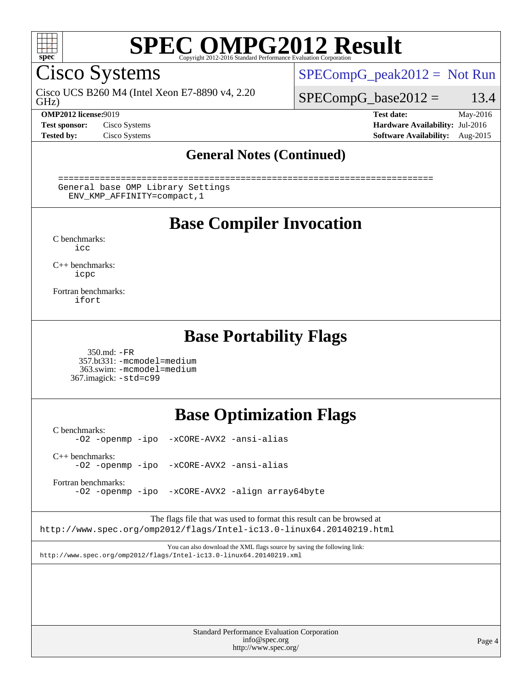

Cisco Systems

GHz) Cisco UCS B260 M4 (Intel Xeon E7-8890 v4, 2.20  $SPECompG_peak2012 = Not Run$  $SPECompG_peak2012 = Not Run$ 

 $SPECompG_base2012 = 13.4$  $SPECompG_base2012 = 13.4$ 

**[Test sponsor:](http://www.spec.org/auto/omp2012/Docs/result-fields.html#Testsponsor)** Cisco Systems **[Hardware Availability:](http://www.spec.org/auto/omp2012/Docs/result-fields.html#HardwareAvailability)** Jul-2016

**[OMP2012 license:](http://www.spec.org/auto/omp2012/Docs/result-fields.html#OMP2012license)**9019 **[Test date:](http://www.spec.org/auto/omp2012/Docs/result-fields.html#Testdate)** May-2016 **[Tested by:](http://www.spec.org/auto/omp2012/Docs/result-fields.html#Testedby)** Cisco Systems **[Software Availability:](http://www.spec.org/auto/omp2012/Docs/result-fields.html#SoftwareAvailability)** Aug-2015

Page 4

### **[General Notes \(Continued\)](http://www.spec.org/auto/omp2012/Docs/result-fields.html#GeneralNotes)**

 ======================================================================== General base OMP Library Settings ENV\_KMP\_AFFINITY=compact,1

### **[Base Compiler Invocation](http://www.spec.org/auto/omp2012/Docs/result-fields.html#BaseCompilerInvocation)**

[C benchmarks](http://www.spec.org/auto/omp2012/Docs/result-fields.html#Cbenchmarks): [icc](http://www.spec.org/omp2012/results/res2016q2/omp2012-20160511-00073.flags.html#user_CCbase_intel_icc_a87c68a857bc5ec5362391a49d3a37a6)

[C++ benchmarks:](http://www.spec.org/auto/omp2012/Docs/result-fields.html#CXXbenchmarks) [icpc](http://www.spec.org/omp2012/results/res2016q2/omp2012-20160511-00073.flags.html#user_CXXbase_intel_icpc_2d899f8d163502b12eb4a60069f80c1c)

[Fortran benchmarks](http://www.spec.org/auto/omp2012/Docs/result-fields.html#Fortranbenchmarks): [ifort](http://www.spec.org/omp2012/results/res2016q2/omp2012-20160511-00073.flags.html#user_FCbase_intel_ifort_8a5e5e06b19a251bdeaf8fdab5d62f20)

### **[Base Portability Flags](http://www.spec.org/auto/omp2012/Docs/result-fields.html#BasePortabilityFlags)**

 350.md: [-FR](http://www.spec.org/omp2012/results/res2016q2/omp2012-20160511-00073.flags.html#user_baseFPORTABILITY350_md_f-FR) 357.bt331: [-mcmodel=medium](http://www.spec.org/omp2012/results/res2016q2/omp2012-20160511-00073.flags.html#user_basePORTABILITY357_bt331_f-mcmodel_3a41622424bdd074c4f0f2d2f224c7e5) 363.swim: [-mcmodel=medium](http://www.spec.org/omp2012/results/res2016q2/omp2012-20160511-00073.flags.html#user_basePORTABILITY363_swim_f-mcmodel_3a41622424bdd074c4f0f2d2f224c7e5) 367.imagick: [-std=c99](http://www.spec.org/omp2012/results/res2016q2/omp2012-20160511-00073.flags.html#user_baseCPORTABILITY367_imagick_f-std_2ec6533b6e06f1c4a6c9b78d9e9cde24)

## **[Base Optimization Flags](http://www.spec.org/auto/omp2012/Docs/result-fields.html#BaseOptimizationFlags)**

[C benchmarks](http://www.spec.org/auto/omp2012/Docs/result-fields.html#Cbenchmarks): [-O2](http://www.spec.org/omp2012/results/res2016q2/omp2012-20160511-00073.flags.html#user_CCbase_f-O2) [-openmp](http://www.spec.org/omp2012/results/res2016q2/omp2012-20160511-00073.flags.html#user_CCbase_f-openmp) [-ipo](http://www.spec.org/omp2012/results/res2016q2/omp2012-20160511-00073.flags.html#user_CCbase_f-ipo_84062ab53814f613187d02344b8f49a7) [-xCORE-AVX2](http://www.spec.org/omp2012/results/res2016q2/omp2012-20160511-00073.flags.html#user_CCbase_f-xCORE-AVX2) [-ansi-alias](http://www.spec.org/omp2012/results/res2016q2/omp2012-20160511-00073.flags.html#user_CCbase_f-ansi-alias)

[C++ benchmarks:](http://www.spec.org/auto/omp2012/Docs/result-fields.html#CXXbenchmarks) [-O2](http://www.spec.org/omp2012/results/res2016q2/omp2012-20160511-00073.flags.html#user_CXXbase_f-O2) [-openmp](http://www.spec.org/omp2012/results/res2016q2/omp2012-20160511-00073.flags.html#user_CXXbase_f-openmp) [-ipo](http://www.spec.org/omp2012/results/res2016q2/omp2012-20160511-00073.flags.html#user_CXXbase_f-ipo_84062ab53814f613187d02344b8f49a7) [-xCORE-AVX2](http://www.spec.org/omp2012/results/res2016q2/omp2012-20160511-00073.flags.html#user_CXXbase_f-xCORE-AVX2) [-ansi-alias](http://www.spec.org/omp2012/results/res2016q2/omp2012-20160511-00073.flags.html#user_CXXbase_f-ansi-alias)

[Fortran benchmarks](http://www.spec.org/auto/omp2012/Docs/result-fields.html#Fortranbenchmarks):

[-O2](http://www.spec.org/omp2012/results/res2016q2/omp2012-20160511-00073.flags.html#user_FCbase_f-O2) [-openmp](http://www.spec.org/omp2012/results/res2016q2/omp2012-20160511-00073.flags.html#user_FCbase_f-openmp) [-ipo](http://www.spec.org/omp2012/results/res2016q2/omp2012-20160511-00073.flags.html#user_FCbase_f-ipo_84062ab53814f613187d02344b8f49a7) [-xCORE-AVX2](http://www.spec.org/omp2012/results/res2016q2/omp2012-20160511-00073.flags.html#user_FCbase_f-xCORE-AVX2) [-align array64byte](http://www.spec.org/omp2012/results/res2016q2/omp2012-20160511-00073.flags.html#user_FCbase_f-align_c9377f996e966d652baaf753401d4725)

The flags file that was used to format this result can be browsed at <http://www.spec.org/omp2012/flags/Intel-ic13.0-linux64.20140219.html>

You can also download the XML flags source by saving the following link: <http://www.spec.org/omp2012/flags/Intel-ic13.0-linux64.20140219.xml>

> Standard Performance Evaluation Corporation [info@spec.org](mailto:info@spec.org) <http://www.spec.org/>